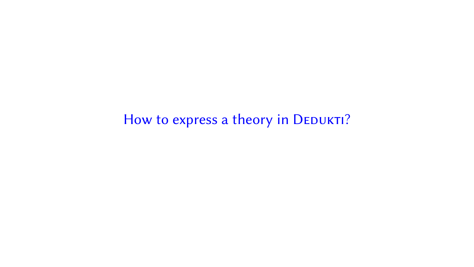How to express a theory in DEDUKTI?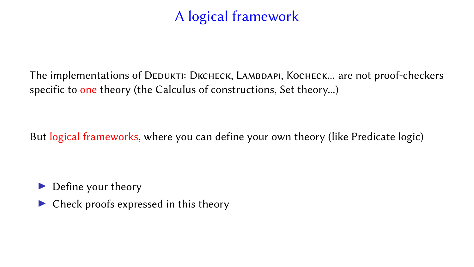# A logical framework

The implementations of DEDUKTI: DKCHECK, LAMBDAPI, KOCHECK... are not proof-checkers specific to one theory (the Calculus of constructions, Set theory...)

But logical frameworks, where you can define your own theory (like Predicate logic)

Define your theory

 $\triangleright$  Check proofs expressed in this theory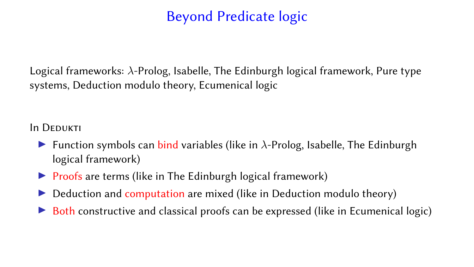# Beyond Predicate logic

Logical frameworks: λ-Prolog, Isabelle, The Edinburgh logical framework, Pure type systems, Deduction modulo theory, Ecumenical logic

**In DEDUKTI** 

- Function symbols can bind variables (like in  $\lambda$ -Prolog, Isabelle, The Edinburgh logical framework)
- $\triangleright$  Proofs are terms (like in The Edinburgh logical framework)
- Deduction and computation are mixed (like in Deduction modulo theory)
- Both constructive and classical proofs can be expressed (like in Ecumenical logic)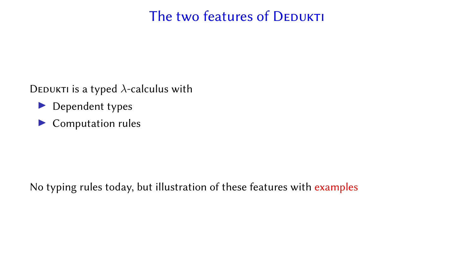# The two features of DEDUKTI

DEDUKTI is a typed  $\lambda$ -calculus with

- $\blacktriangleright$  Dependent types
- $\blacktriangleright$  Computation rules

No typing rules today, but illustration of these features with examples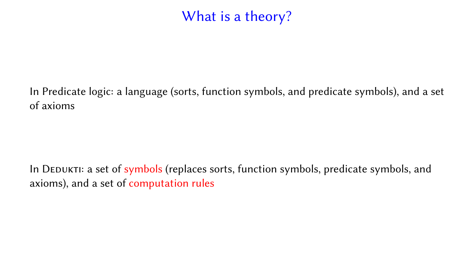# What is a theory?

In Predicate logic: a language (sorts, function symbols, and predicate symbols), and a set of axioms

In DEDUKTI: a set of symbols (replaces sorts, function symbols, predicate symbols, and axioms), and a set of computation rules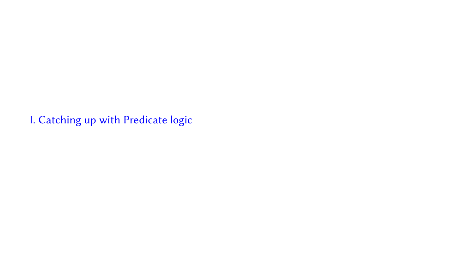I. Catching up with Predicate logic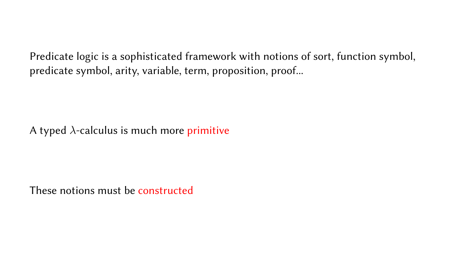Predicate logic is a sophisticated framework with notions of sort, function symbol, predicate symbol, arity, variable, term, proposition, proof...

A typed  $\lambda$ -calculus is much more primitive

These notions must be constructed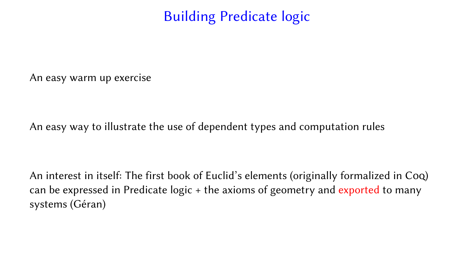Building Predicate logic

An easy warm up exercise

An easy way to illustrate the use of dependent types and computation rules

An interest in itself: The first book of Euclid's elements (originally formalized in Coq) can be expressed in Predicate logic + the axioms of geometry and exported to many systems (Géran)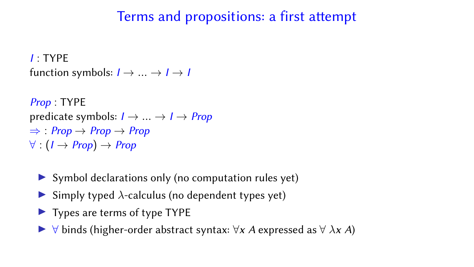### Terms and propositions: a first attempt

I : TYPE function symbols:  $I \rightarrow ... \rightarrow I \rightarrow I$ 

```
Prop : TYPE
predicate symbols: I \rightarrow ... \rightarrow I \rightarrow Prop\Rightarrow Prop \rightarrow Prop \rightarrow Prop
\forall : (I \rightarrow Prop) \rightarrow Prop
```
- $\triangleright$  Symbol declarations only (no computation rules yet)
- $\triangleright$  Simply typed  $\lambda$ -calculus (no dependent types yet)
- $\blacktriangleright$  Types are terms of type TYPE
- $\forall$  binds (higher-order abstract syntax:  $\forall x$  A expressed as  $\forall$   $\lambda x$  A)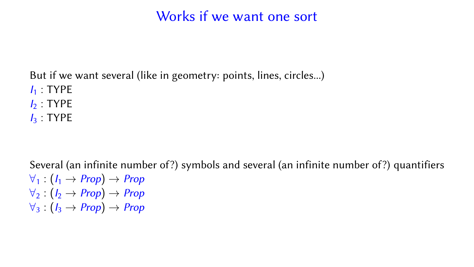### Works if we want one sort

But if we want several (like in geometry: points, lines, circles...)

- $I_1$ : TYPE
- $I_2$ : TYPE
- $I_3$ : TYPE

Several (an infinite number of?) symbols and several (an infinite number of?) quantifiers  $\forall_1$  :  $(I_1 \rightarrow Prop) \rightarrow Prop$  $\forall_2$  :  $(I_2 \rightarrow Prop) \rightarrow Prop$  $\forall_3$  :  $(I_3 \rightarrow Prop) \rightarrow Prop$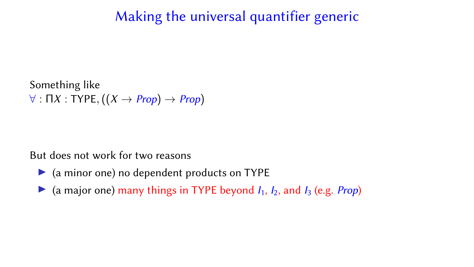## Making the universal quantifier generic

Something like  $\forall$ : ΠX : TYPE,  $((X \rightarrow Prop) \rightarrow Prop)$ 

But does not work for two reasons

- $\triangleright$  (a minor one) no dependent products on TYPE
- $\triangleright$  (a major one) many things in TYPE beyond  $I_1$ ,  $I_2$ , and  $I_3$  (e.g. *Prop*)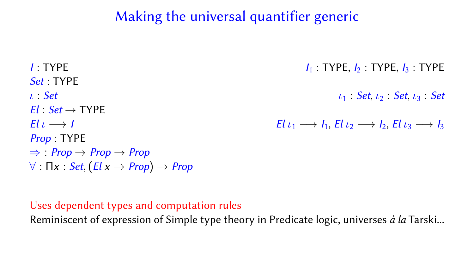# Making the universal quantifier generic

 $I_1$ : TYPE,  $I_2$ : TYPE,  $I_3$ : TYPE,  $I_4$ : TYPE,  $I_5$ : TYPE,  $I_7$ : TYPE,  $I_8$ : TYPE,  $I_9$ : TYPE,  $I_9$ : TYPE,  $I_9$ : TYPE,  $I_9$ : TYPE,  $I_9$ : TYPE,  $I_9$ : TYPE,  $I_9$ : TYPE,  $I_9$ : TYPE,  $I_9$ : TYPE,  $I_9$ : TYPE, Set : TYPE  $\iota_1$  : Set,  $\iota_2$  : Set,  $\iota_3$  : Set,  $\iota_4$  : Set,  $\iota_5$  : Set,  $\iota_7$  $Fl : Set \rightarrow \text{TYPE}$  $E|_U \longrightarrow I$   $E|_{U_1} \longrightarrow I_1$ ,  $E|_{U_2} \longrightarrow I_2$ ,  $E|_{U_3} \longrightarrow I_3$ Prop : TYPE  $\Rightarrow$  Prop  $\rightarrow$  Prop  $\rightarrow$  Prop  $\forall$  :  $\prod x : Set$ ,  $(El x \rightarrow Prop) \rightarrow Prop$ 

#### Uses dependent types and computation rules

Reminiscent of expression of Simple type theory in Predicate logic, universes à la Tarski...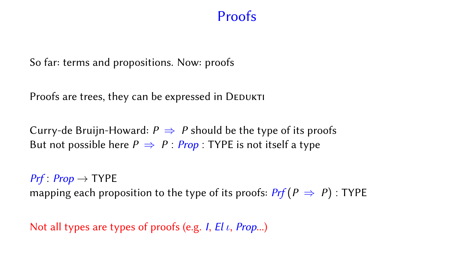#### **Proofs**

So far: terms and propositions. Now: proofs

Proofs are trees, they can be expressed in DEDUKTI

Curry-de Bruijn-Howard:  $P \Rightarrow P$  should be the type of its proofs But not possible here  $P \Rightarrow P$  : Prop : TYPE is not itself a type

 $Prf: Prop \rightarrow TYPE$ mapping each proposition to the type of its proofs:  $Pr(f \ge P)$ : TYPE

Not all types are types of proofs (e.g. I,  $El \iota$ , *Prop...*)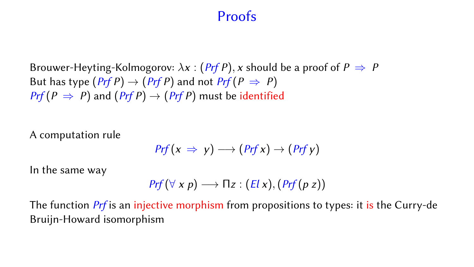#### Proofs

Brouwer-Heyting-Kolmogorov:  $\lambda x$  : (Prf P), x should be a proof of  $P \Rightarrow P$ But has type  $(Prf P) \rightarrow (Prf P)$  and not  $Prf(P \Rightarrow P)$  $Prf(P \Rightarrow P)$  and  $(Prf P) \rightarrow (Prf P)$  must be identified

A computation rule

$$
Prf(x \Rightarrow y) \longrightarrow (Prf x) \rightarrow (Prf y)
$$

In the same way

$$
Prf(\forall x p) \longrightarrow \Pi z : (El x), (Prf(p z))
$$

The function *Prf* is an injective morphism from propositions to types: it is the Curry-de Bruijn-Howard isomorphism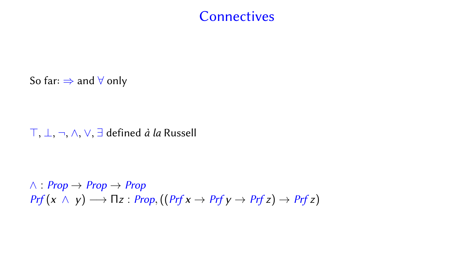#### **Connectives**

So far:  $\Rightarrow$  and  $\forall$  only

>, ⊥, ¬, ∧, ∨, ∃ defined à la Russell

 $∧$  : Prop  $→$  Prop  $→$  Prop  $Prf(x \wedge y) \longrightarrow \Pi z : Prop, ((Prf x \rightarrow Prf y \rightarrow Prf z) \rightarrow Prf z)$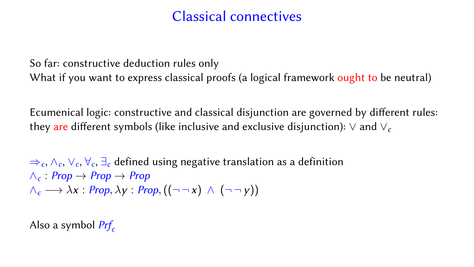### Classical connectives

So far: constructive deduction rules only What if you want to express classical proofs (a logical framework ought to be neutral)

Ecumenical logic: constructive and classical disjunction are governed by different rules: they are different symbols (like inclusive and exclusive disjunction):  $\vee$  and  $\vee_c$ 

 $\Rightarrow_c, \wedge_c, \vee_c, \forall_c, \exists_c$  defined using negative translation as a definition  $\wedge_c$  Prop  $\rightarrow$  Prop  $\rightarrow$  Prop  $\wedge_c \longrightarrow \lambda x : Prop, \lambda y : Prop, ((\neg \neg x) \wedge (\neg \neg y))$ 

Also a symbol  $Prf_c$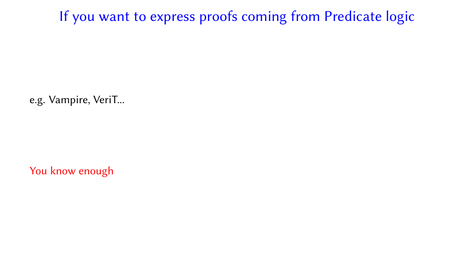If you want to express proofs coming from Predicate logic

e.g. Vampire, VeriT...

You know enough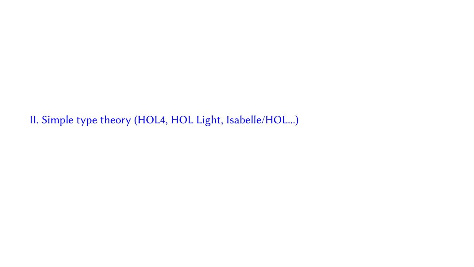II. Simple type theory (HOL4, HOL Light, Isabelle/HOL...)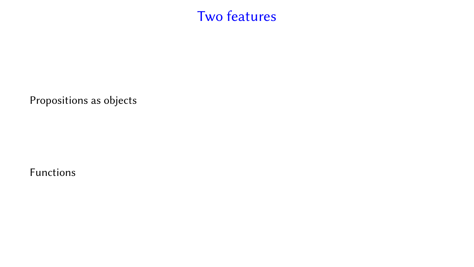# Two features

Propositions as objects

Functions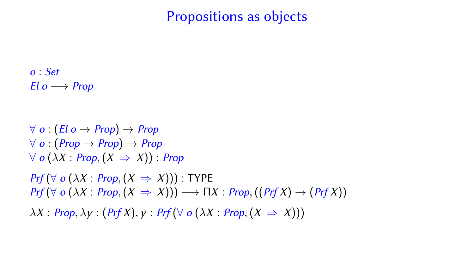#### Propositions as objects

o : Set El  $o \longrightarrow Prop$ 

 $\forall$  o  $(El \circ \rightarrow Prop) \rightarrow Prop$  $\forall$  o :  $(Prop \rightarrow Prop) \rightarrow Prop$  $\forall$  o ( $\lambda X : Prop, (X \Rightarrow X)$ ) : Prop  $Prf(\forall o(\lambda X: Prop, (X \Rightarrow X)))$ : TYPE  $Prf(\forall o(\lambda X : Prop, (X \Rightarrow X))) \longrightarrow \Pi X : Prop, ((Prf X) \rightarrow (Prf X))$  $\lambda X$  : Prop,  $\lambda y$  : (Prf X),  $y$  : Prf ( $\forall$  o ( $\lambda X$  : Prop,  $(X \Rightarrow X)$ ))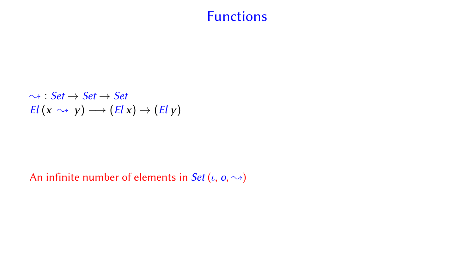#### Functions

$$
\rightsquigarrow : Set \rightarrow Set \rightarrow Set
$$
  
El  $(x \rightsquigarrow y) \rightarrow (El x) \rightarrow (El y)$ 

#### An infinite number of elements in Set  $(\iota, o, \leadsto)$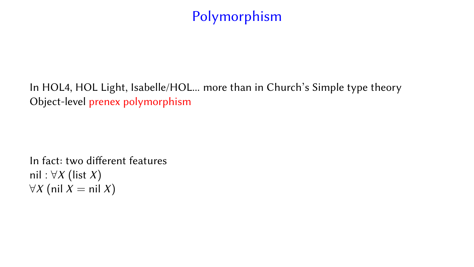# Polymorphism

In HOL4, HOL Light, Isabelle/HOL... more than in Church's Simple type theory Object-level prenex polymorphism

In fact: two different features nil :  $\forall X$  (list X)  $\forall X$  (nil *X* = nil *X*)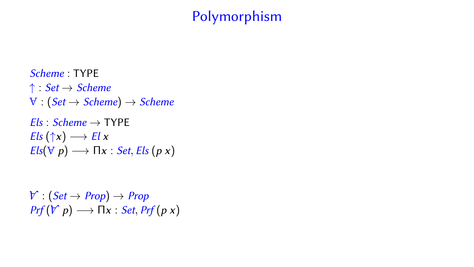# Polymorphism

Scheme : TYPE ↑ : Set → Scheme  $\forall$  :  $(Set \rightarrow Scheme) \rightarrow Scheme$  $Fls : Scheme \rightarrow \text{TYPE}$  $Els(\uparrow x) \longrightarrow El x$  $Els(\forall p) \longrightarrow \Pi x : Set, Els (p x)$ 

 $\mathcal{V} : (\mathit{Set} \to \mathit{Prop}) \to \mathit{Prop}$  $Prf(V|p) \longrightarrow \Pi x : Set, Prf(p|x)$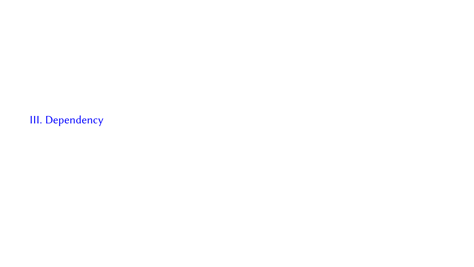III. Dependency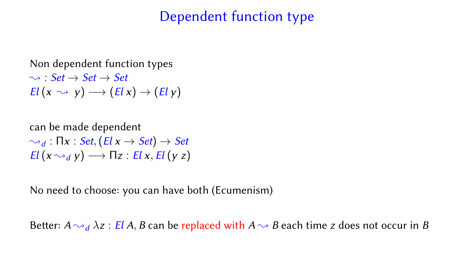### Dependent function type

#### Non dependent function types  $\rightsquigarrow$  Set  $\rightarrow$  Set  $\rightarrow$  Set  $El (x \rightsquigarrow y) \longrightarrow (El x) \rightarrow (El y)$

can be made dependent  $\rightsquigarrow_d$  :  $\prod x : Set, (El x \rightarrow Set) \rightarrow Set$  $El (x \rightarrow_d y) \rightarrow \Pi z : El x, El (yz)$ 

No need to choose: you can have both (Ecumenism)

Better:  $A \sim_d \lambda z$ : El A, B can be replaced with  $A \sim_B B$  each time z does not occur in B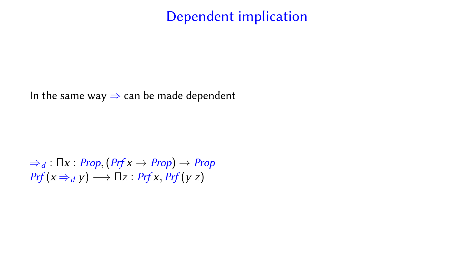### Dependent implication

In the same way  $\Rightarrow$  can be made dependent

$$
\Rightarrow_d : \Pi x : Prop, (Prf x \rightarrow Prop) \rightarrow Prop
$$
  
Prf(x \Rightarrow\_d y) \rightarrow \Pi z : Prf x, Prf (y z)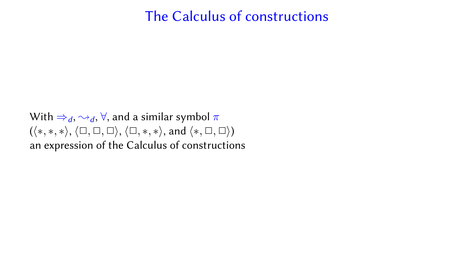#### The Calculus of constructions

With  $\Rightarrow_d, \rightsquigarrow_d, \forall$ , and a similar symbol  $\pi$  $(\langle *, *, * \rangle, \langle \Box, \Box, \Box \rangle, \langle \Box, *, * \rangle, \text{ and } \langle *, \Box, \Box \rangle)$ an expression of the Calculus of constructions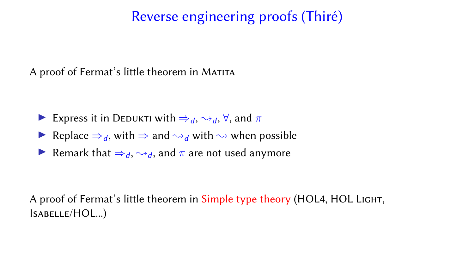# Reverse engineering proofs (Thiré)

A proof of Fermat's little theorem in MATITA

- Express it in DEDUKTI with  $\Rightarrow_d, \rightsquigarrow_d, \forall$ , and  $\pi$
- Replace  $\Rightarrow_d$ , with  $\Rightarrow$  and  $\rightsquigarrow_d$  with  $\rightsquigarrow$  when possible
- Remark that  $\Rightarrow_d, \rightsquigarrow_d$ , and  $\pi$  are not used anymore

A proof of Fermat's little theorem in Simple type theory (HOL4, HOL LIGHT, Isabelle/HOL...)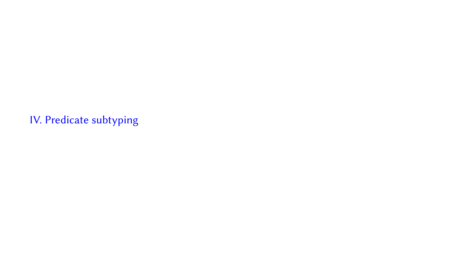IV. Predicate subtyping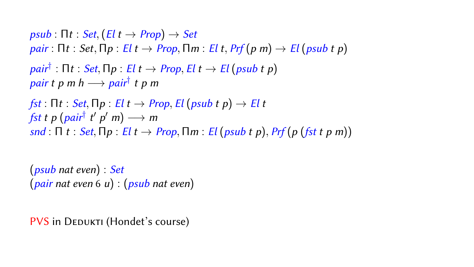```
psub : \prod t : Set, (E | t \rightarrow Prop) \rightarrow Setpair : \prod t : Set, \prod p : El t \rightarrow Prop, \prod m : El t, Prf(p | m) \rightarrow El (psub t p)\textit{pair}^\dagger : \mathsf{\Pi} t : \textit{Set}, \mathsf{\Pi} p : \textit{El } t \rightarrow \textit{Prop}, \textit{El } t \rightarrow \textit{El} \left( \textit{psub } t \textit{ p} \right)pair t p m h → pair<sup>†</sup> t p m
fst : \Gammat : Set, \Gammap : El t \rightarrow Prop, El (psub t p) \rightarrow El t
 fst t p (pair^\dagger t′ p′ m) \longrightarrow m
snd : \Pi t : Set, \Pi p : El t \rightarrow Prop, \Pim : El (psub t p), Pr (p (fst t p m))
```
(psub nat even) : Set  $(pair nat even 6 u) : (psub nat even)$ 

PVS in DEDUKTI (Hondet's course)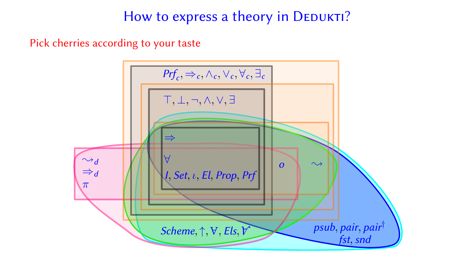### How to express a theory in DEDUKTI?

Pick cherries according to your taste